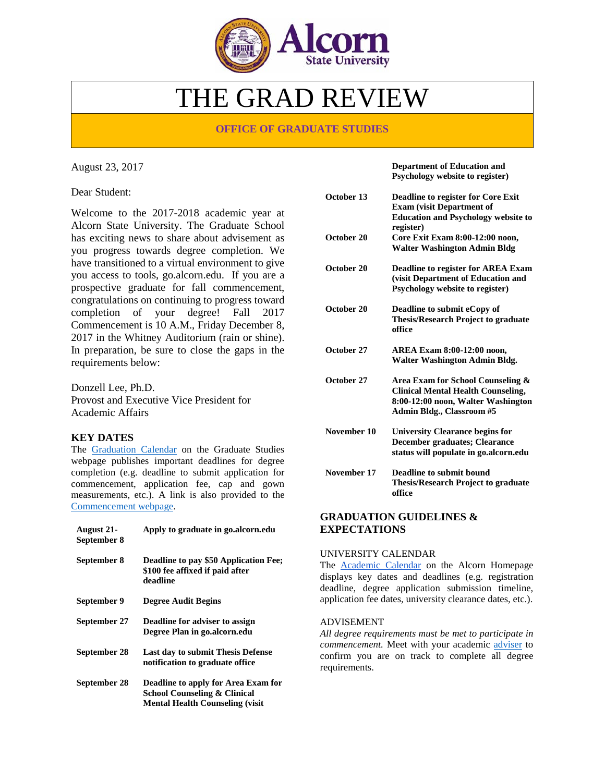

# THE GRAD REVIEW

# **OFFICE OF GRADUATE STUDIES**

August 23, 2017

Dear Student:

Welcome to the 2017-2018 academic year at Alcorn State University. The Graduate School has exciting news to share about advisement as you progress towards degree completion. We have transitioned to a virtual environment to give you access to tools, go.alcorn.edu. If you are a prospective graduate for fall commencement, congratulations on continuing to progress toward completion of your degree! Fall 2017 Commencement is 10 A.M., Friday December 8, 2017 in the Whitney Auditorium (rain or shine). In preparation, be sure to close the gaps in the requirements below:

Donzell Lee, Ph.D. Provost and Executive Vice President for Academic Affairs

# **KEY DATES**

The **Graduation Calendar** on the Graduate Studies webpage publishes important deadlines for degree completion (e.g. deadline to submit application for commencement, application fee, cap and gown measurements, etc.). A link is also provided to the [Commencement webpage.](http://www.alcorn.edu/academics/commencement/index.aspx)

| <b>August 21-</b><br>September 8 | Apply to graduate in go. alcorn. edu                                                                                       |
|----------------------------------|----------------------------------------------------------------------------------------------------------------------------|
| September 8                      | Deadline to pay \$50 Application Fee;<br>\$100 fee affixed if paid after<br>deadline                                       |
| September 9                      | Degree Audit Begins                                                                                                        |
| September 27                     | Deadline for adviser to assign<br>Degree Plan in go.alcorn.edu                                                             |
| September 28                     | Last day to submit Thesis Defense<br>notification to graduate office.                                                      |
| September 28                     | Deadline to apply for Area Exam for<br><b>School Counseling &amp; Clinical</b><br><b>Mental Health Counseling (visit</b> ) |

**Department of Education and Psychology website to register)**

| October 13  | <b>Deadline to register for Core Exit</b><br><b>Exam (visit Department of</b><br><b>Education and Psychology website to</b><br>register)          |
|-------------|---------------------------------------------------------------------------------------------------------------------------------------------------|
| October 20  | Core Exit Exam 8:00-12:00 noon,<br><b>Walter Washington Admin Bldg</b>                                                                            |
| October 20  | <b>Deadline to register for AREA Exam</b><br>(visit Department of Education and<br>Psychology website to register)                                |
| October 20  | Deadline to submit eCopy of<br><b>Thesis/Research Project to graduate</b><br>office                                                               |
| October 27  | <b>AREA Exam 8:00-12:00 noon,</b><br><b>Walter Washington Admin Bldg.</b>                                                                         |
| October 27  | Area Exam for School Counseling &<br><b>Clinical Mental Health Counseling,</b><br>8:00-12:00 noon, Walter Washington<br>Admin Bldg., Classroom #5 |
| November 10 | <b>University Clearance begins for</b><br><b>December graduates; Clearance</b><br>status will populate in go.alcorn.edu                           |
| November 17 | Deadline to submit bound<br><b>Thesis/Research Project to graduate</b><br>office                                                                  |

## **GRADUATION GUIDELINES & EXPECTATIONS**

#### UNIVERSITY CALENDAR

The **Academic Calendar** on the Alcorn Homepage displays key dates and deadlines (e.g. registration deadline, degree application submission timeline, application fee dates, university clearance dates, etc.).

### ADVISEMENT

*All degree requirements must be met to participate in commencement.* Meet with your academic [adviser](http://www.alcorn.edu/academics/graduate/advisement/index.aspx) to confirm you are on track to complete all degree requirements.